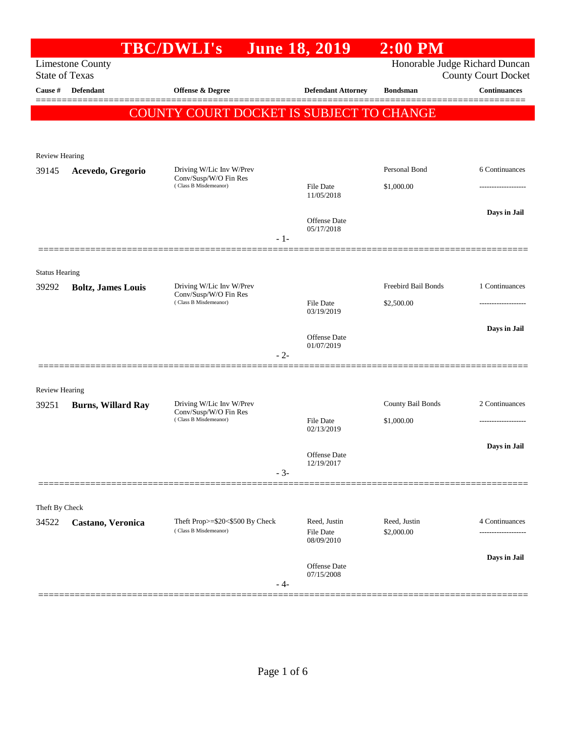|                                |                           | <b>TBC/DWLI's</b>                              | <b>June 18, 2019</b>       | $2:00$ PM           |                                                              |
|--------------------------------|---------------------------|------------------------------------------------|----------------------------|---------------------|--------------------------------------------------------------|
| <b>State of Texas</b>          | <b>Limestone County</b>   |                                                |                            |                     | Honorable Judge Richard Duncan<br><b>County Court Docket</b> |
| Cause #                        | Defendant                 | <b>Offense &amp; Degree</b>                    | <b>Defendant Attorney</b>  | <b>Bondsman</b>     | <b>Continuances</b>                                          |
|                                |                           | COUNTY COURT DOCKET IS SUBJECT TO CHANGE       |                            |                     |                                                              |
|                                |                           |                                                |                            |                     |                                                              |
|                                |                           |                                                |                            |                     |                                                              |
| Review Hearing<br>39145        | Acevedo, Gregorio         | Driving W/Lic Inv W/Prev                       |                            | Personal Bond       | 6 Continuances                                               |
|                                |                           | Conv/Susp/W/O Fin Res<br>(Class B Misdemeanor) | <b>File Date</b>           | \$1,000.00          |                                                              |
|                                |                           |                                                | 11/05/2018                 |                     |                                                              |
|                                |                           |                                                |                            |                     | Days in Jail                                                 |
|                                |                           |                                                | Offense Date<br>05/17/2018 |                     |                                                              |
|                                |                           | $-1-$                                          |                            |                     |                                                              |
|                                |                           |                                                |                            |                     |                                                              |
| <b>Status Hearing</b><br>39292 |                           | Driving W/Lic Inv W/Prev                       |                            | Freebird Bail Bonds | 1 Continuances                                               |
|                                | <b>Boltz, James Louis</b> | Conv/Susp/W/O Fin Res<br>(Class B Misdemeanor) | <b>File Date</b>           | \$2,500.00          |                                                              |
|                                |                           |                                                | 03/19/2019                 |                     |                                                              |
|                                |                           |                                                | Offense Date               |                     | Days in Jail                                                 |
|                                |                           |                                                | 01/07/2019                 |                     |                                                              |
|                                |                           | $-2-$                                          |                            |                     |                                                              |
|                                |                           |                                                |                            |                     |                                                              |
| <b>Review Hearing</b><br>39251 | <b>Burns, Willard Ray</b> | Driving W/Lic Inv W/Prev                       |                            | County Bail Bonds   | 2 Continuances                                               |
|                                |                           | Conv/Susp/W/O Fin Res<br>(Class B Misdemeanor) | <b>File Date</b>           | \$1,000.00          |                                                              |
|                                |                           |                                                | 02/13/2019                 |                     |                                                              |
|                                |                           |                                                | Offense Date               |                     | Days in Jail                                                 |
|                                |                           |                                                | 12/19/2017                 |                     |                                                              |
|                                |                           | $-3-$                                          |                            |                     |                                                              |
|                                |                           |                                                |                            |                     |                                                              |
| Theft By Check<br>34522        | Castano, Veronica         | Theft Prop>=\$20<\$500 By Check                | Reed, Justin               | Reed, Justin        | 4 Continuances                                               |
|                                |                           | (Class B Misdemeanor)                          | File Date                  | \$2,000.00          |                                                              |
|                                |                           |                                                | 08/09/2010                 |                     |                                                              |
|                                |                           |                                                | Offense Date               |                     | Days in Jail                                                 |
|                                |                           | - 4-                                           | 07/15/2008                 |                     |                                                              |
|                                |                           |                                                |                            |                     |                                                              |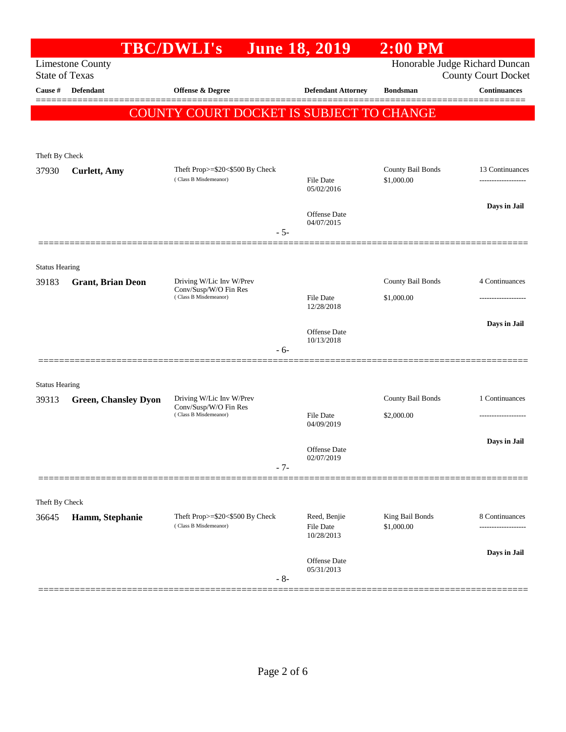|                       |                             | <b>TBC/DWLI's</b>                                        | <b>June 18, 2019</b>       | $2:00$ PM                       |                                                              |
|-----------------------|-----------------------------|----------------------------------------------------------|----------------------------|---------------------------------|--------------------------------------------------------------|
| <b>State of Texas</b> | <b>Limestone County</b>     |                                                          |                            |                                 | Honorable Judge Richard Duncan<br><b>County Court Docket</b> |
| Cause #               | <b>Defendant</b>            | Offense & Degree                                         | <b>Defendant Attorney</b>  | <b>Bondsman</b>                 | <b>Continuances</b>                                          |
|                       |                             |                                                          |                            |                                 |                                                              |
|                       |                             | <b>COUNTY COURT DOCKET IS SUBJECT TO CHANGE</b>          |                            |                                 |                                                              |
|                       |                             |                                                          |                            |                                 |                                                              |
| Theft By Check        |                             |                                                          |                            |                                 |                                                              |
| 37930                 | <b>Curlett</b> , Amy        | Theft Prop>=\$20<\$500 By Check<br>(Class B Misdemeanor) | <b>File Date</b>           | County Bail Bonds<br>\$1,000.00 | 13 Continuances                                              |
|                       |                             |                                                          | 05/02/2016                 |                                 |                                                              |
|                       |                             |                                                          | Offense Date               |                                 | Days in Jail                                                 |
|                       |                             | $-5-$                                                    | 04/07/2015                 |                                 |                                                              |
|                       |                             |                                                          |                            |                                 |                                                              |
| <b>Status Hearing</b> |                             |                                                          |                            |                                 |                                                              |
| 39183                 | <b>Grant, Brian Deon</b>    | Driving W/Lic Inv W/Prev                                 |                            | County Bail Bonds               | 4 Continuances                                               |
|                       |                             | Conv/Susp/W/O Fin Res<br>(Class B Misdemeanor)           | <b>File Date</b>           | \$1,000.00                      |                                                              |
|                       |                             |                                                          | 12/28/2018                 |                                 |                                                              |
|                       |                             |                                                          | Offense Date               |                                 | Days in Jail                                                 |
|                       |                             | $-6-$                                                    | 10/13/2018                 |                                 |                                                              |
|                       |                             |                                                          |                            |                                 |                                                              |
| <b>Status Hearing</b> |                             |                                                          |                            |                                 |                                                              |
| 39313                 | <b>Green, Chansley Dyon</b> | Driving W/Lic Inv W/Prev                                 |                            | County Bail Bonds               | 1 Continuances                                               |
|                       |                             | Conv/Susp/W/O Fin Res<br>(Class B Misdemeanor)           | <b>File Date</b>           | \$2,000.00                      |                                                              |
|                       |                             |                                                          | 04/09/2019                 |                                 |                                                              |
|                       |                             |                                                          | <b>Offense Date</b>        |                                 | Days in Jail                                                 |
|                       |                             | $-7-$                                                    | 02/07/2019                 |                                 |                                                              |
|                       |                             |                                                          |                            |                                 |                                                              |
| Theft By Check        |                             |                                                          |                            |                                 |                                                              |
| 36645                 | Hamm, Stephanie             | Theft Prop>=\$20<\$500 By Check                          | Reed, Benjie               | King Bail Bonds                 | 8 Continuances                                               |
|                       |                             | (Class B Misdemeanor)                                    | File Date<br>10/28/2013    | \$1,000.00                      | .                                                            |
|                       |                             |                                                          |                            |                                 | Days in Jail                                                 |
|                       |                             |                                                          | Offense Date<br>05/31/2013 |                                 |                                                              |
|                       |                             | $-8-$                                                    |                            |                                 |                                                              |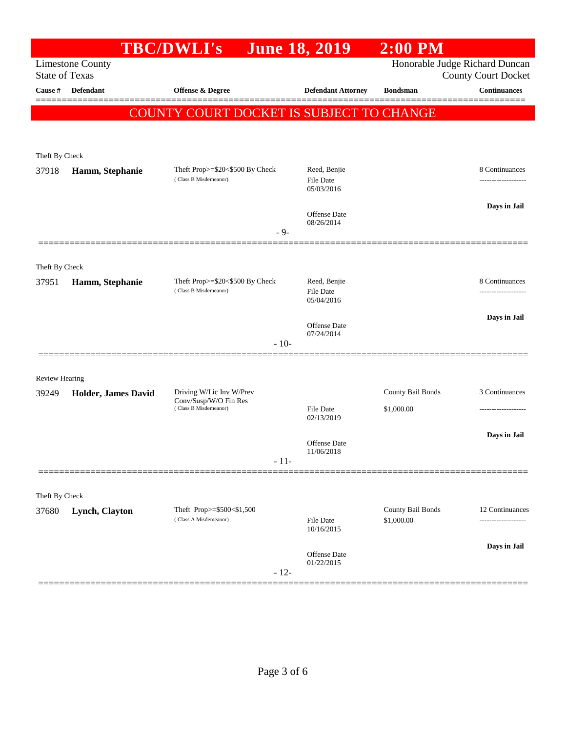|                       |                         | <b>TBC/DWLI's</b>                                        | <b>June 18, 2019</b>              | $2:00$ PM                       |                                                              |
|-----------------------|-------------------------|----------------------------------------------------------|-----------------------------------|---------------------------------|--------------------------------------------------------------|
| <b>State of Texas</b> | <b>Limestone County</b> |                                                          |                                   |                                 | Honorable Judge Richard Duncan<br><b>County Court Docket</b> |
| Cause #               | Defendant               | <b>Offense &amp; Degree</b>                              | <b>Defendant Attorney</b>         | <b>Bondsman</b>                 | <b>Continuances</b>                                          |
|                       |                         |                                                          |                                   |                                 |                                                              |
|                       |                         | COUNTY COURT DOCKET IS SUBJECT TO CHANGE                 |                                   |                                 |                                                              |
|                       |                         |                                                          |                                   |                                 |                                                              |
| Theft By Check        |                         |                                                          |                                   |                                 |                                                              |
| 37918                 | Hamm, Stephanie         | Theft Prop>=\$20<\$500 By Check<br>(Class B Misdemeanor) | Reed, Benjie<br>File Date         |                                 | 8 Continuances                                               |
|                       |                         |                                                          | 05/03/2016                        |                                 |                                                              |
|                       |                         |                                                          | Offense Date                      |                                 | Days in Jail                                                 |
|                       |                         | $-9-$                                                    | 08/26/2014                        |                                 |                                                              |
|                       |                         |                                                          |                                   |                                 |                                                              |
| Theft By Check        |                         |                                                          |                                   |                                 |                                                              |
| 37951                 | Hamm, Stephanie         | Theft Prop>=\$20<\$500 By Check                          | Reed, Benjie                      |                                 | 8 Continuances                                               |
|                       |                         | (Class B Misdemeanor)                                    | <b>File Date</b><br>05/04/2016    |                                 |                                                              |
|                       |                         |                                                          |                                   |                                 | Days in Jail                                                 |
|                       |                         |                                                          | <b>Offense Date</b><br>07/24/2014 |                                 |                                                              |
|                       |                         | $-10-$                                                   |                                   |                                 |                                                              |
|                       |                         |                                                          |                                   |                                 |                                                              |
| <b>Review Hearing</b> |                         |                                                          |                                   |                                 |                                                              |
| 39249                 | Holder, James David     | Driving W/Lic Inv W/Prev<br>Conv/Susp/W/O Fin Res        |                                   | County Bail Bonds               | 3 Continuances                                               |
|                       |                         | (Class B Misdemeanor)                                    | <b>File Date</b><br>02/13/2019    | \$1,000.00                      | -----------------                                            |
|                       |                         |                                                          |                                   |                                 | Days in Jail                                                 |
|                       |                         |                                                          | Offense Date<br>11/06/2018        |                                 |                                                              |
|                       |                         | $-11-$                                                   |                                   |                                 |                                                              |
|                       |                         |                                                          |                                   |                                 |                                                              |
| Theft By Check        |                         |                                                          |                                   |                                 |                                                              |
| 37680                 | Lynch, Clayton          | Theft Prop>=\$500<\$1,500<br>(Class A Misdemeanor)       | File Date                         | County Bail Bonds<br>\$1,000.00 | 12 Continuances                                              |
|                       |                         |                                                          | 10/16/2015                        |                                 |                                                              |
|                       |                         |                                                          | Offense Date                      |                                 | Days in Jail                                                 |
|                       |                         | $-12-$                                                   | 01/22/2015                        |                                 |                                                              |
|                       |                         |                                                          |                                   |                                 |                                                              |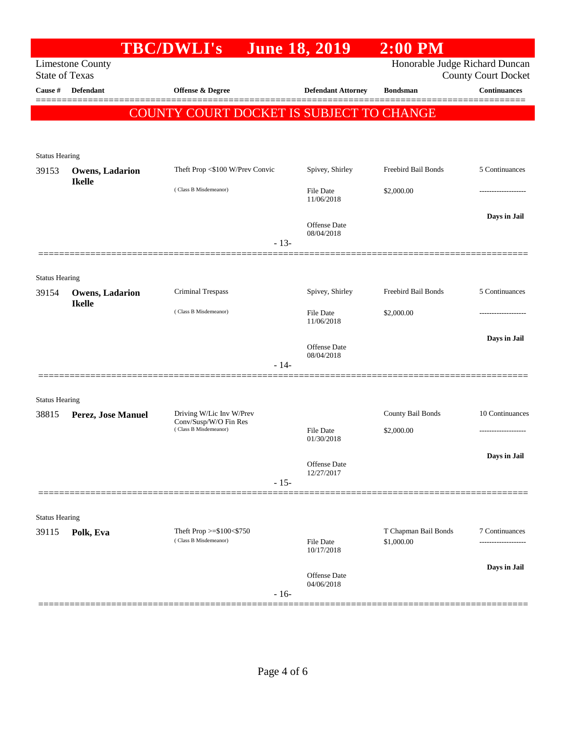|                                |                                         | <b>TBC/DWLI's</b>                                                          |        | <b>June 18, 2019</b>           | $2:00$ PM                          |                                      |
|--------------------------------|-----------------------------------------|----------------------------------------------------------------------------|--------|--------------------------------|------------------------------------|--------------------------------------|
| <b>State of Texas</b>          | <b>Limestone County</b>                 |                                                                            |        |                                | Honorable Judge Richard Duncan     | <b>County Court Docket</b>           |
| Cause #                        | <b>Defendant</b>                        | <b>Offense &amp; Degree</b>                                                |        | <b>Defendant Attorney</b>      | <b>Bondsman</b>                    | <b>Continuances</b>                  |
|                                |                                         | COUNTY COURT DOCKET IS SUBJECT TO CHANGE                                   |        |                                |                                    |                                      |
|                                |                                         |                                                                            |        |                                |                                    |                                      |
| <b>Status Hearing</b>          |                                         |                                                                            |        |                                |                                    |                                      |
| 39153                          | <b>Owens, Ladarion</b><br><b>Ikelle</b> | Theft Prop <\$100 W/Prev Convic                                            |        | Spivey, Shirley                | Freebird Bail Bonds                | 5 Continuances                       |
|                                |                                         | (Class B Misdemeanor)                                                      |        | <b>File Date</b><br>11/06/2018 | \$2,000.00                         | ------------------                   |
|                                |                                         |                                                                            | $-13-$ | Offense Date<br>08/04/2018     |                                    | Days in Jail                         |
|                                |                                         |                                                                            |        |                                |                                    |                                      |
| <b>Status Hearing</b><br>39154 | <b>Owens, Ladarion</b>                  | <b>Criminal Trespass</b>                                                   |        | Spivey, Shirley                | Freebird Bail Bonds                | 5 Continuances                       |
|                                | <b>Ikelle</b>                           | (Class B Misdemeanor)                                                      |        | <b>File Date</b><br>11/06/2018 | \$2,000.00                         | .                                    |
|                                |                                         |                                                                            | $-14-$ | Offense Date<br>08/04/2018     |                                    | Days in Jail                         |
|                                |                                         |                                                                            |        |                                |                                    |                                      |
| <b>Status Hearing</b>          |                                         |                                                                            |        |                                |                                    |                                      |
| 38815                          | Perez, Jose Manuel                      | Driving W/Lic Inv W/Prev<br>Conv/Susp/W/O Fin Res<br>(Class B Misdemeanor) |        | <b>File Date</b>               | County Bail Bonds<br>\$2,000.00    | 10 Continuances                      |
|                                |                                         |                                                                            |        | 01/30/2018                     |                                    | .                                    |
|                                |                                         |                                                                            |        | Offense Date                   |                                    | Days in Jail                         |
|                                |                                         |                                                                            | $-15-$ | 12/27/2017                     |                                    |                                      |
|                                |                                         |                                                                            |        |                                |                                    |                                      |
| <b>Status Hearing</b>          |                                         |                                                                            |        |                                |                                    |                                      |
| 39115                          | Polk, Eva                               | Theft Prop >=\$100<\$750<br>(Class B Misdemeanor)                          |        | File Date<br>10/17/2018        | T Chapman Bail Bonds<br>\$1,000.00 | 7 Continuances<br>------------------ |
|                                |                                         |                                                                            | $-16-$ | Offense Date<br>04/06/2018     |                                    | Days in Jail                         |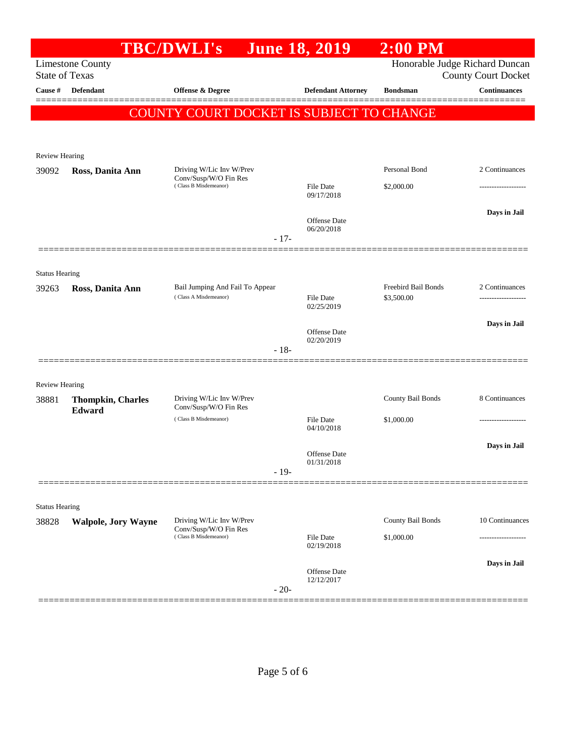|                                |                            | <b>TBC/DWLI's</b>                              | <b>June 18, 2019</b>      | $2:00$ PM           |                                                              |
|--------------------------------|----------------------------|------------------------------------------------|---------------------------|---------------------|--------------------------------------------------------------|
| <b>State of Texas</b>          | <b>Limestone County</b>    |                                                |                           |                     | Honorable Judge Richard Duncan<br><b>County Court Docket</b> |
| Cause #                        | Defendant                  | Offense & Degree                               | <b>Defendant Attorney</b> | <b>Bondsman</b>     | <b>Continuances</b>                                          |
|                                |                            | COUNTY COURT DOCKET IS SUBJECT TO CHANGE       |                           |                     |                                                              |
|                                |                            |                                                |                           |                     |                                                              |
|                                |                            |                                                |                           |                     |                                                              |
| <b>Review Hearing</b><br>39092 | Ross, Danita Ann           | Driving W/Lic Inv W/Prev                       |                           | Personal Bond       | 2 Continuances                                               |
|                                |                            | Conv/Susp/W/O Fin Res<br>(Class B Misdemeanor) | File Date                 | \$2,000.00          |                                                              |
|                                |                            |                                                | 09/17/2018                |                     |                                                              |
|                                |                            |                                                | <b>Offense</b> Date       |                     | Days in Jail                                                 |
|                                |                            |                                                | 06/20/2018                |                     |                                                              |
|                                |                            | $-17-$                                         |                           |                     |                                                              |
|                                |                            |                                                |                           |                     |                                                              |
| <b>Status Hearing</b><br>39263 |                            | Bail Jumping And Fail To Appear                |                           | Freebird Bail Bonds | 2 Continuances                                               |
|                                | Ross, Danita Ann           | (Class A Misdemeanor)                          | File Date                 | \$3,500.00          | -------------------                                          |
|                                |                            |                                                | 02/25/2019                |                     |                                                              |
|                                |                            |                                                | <b>Offense</b> Date       |                     | Days in Jail                                                 |
|                                |                            | $-18-$                                         | 02/20/2019                |                     |                                                              |
|                                |                            |                                                |                           |                     |                                                              |
| Review Hearing                 |                            |                                                |                           |                     |                                                              |
| 38881                          | <b>Thompkin, Charles</b>   | Driving W/Lic Inv W/Prev                       |                           | County Bail Bonds   | 8 Continuances                                               |
|                                | Edward                     | Conv/Susp/W/O Fin Res<br>(Class B Misdemeanor) | File Date                 | \$1,000.00          | .                                                            |
|                                |                            |                                                | 04/10/2018                |                     |                                                              |
|                                |                            |                                                | Offense Date              |                     | Days in Jail                                                 |
|                                |                            | $-19-$                                         | 01/31/2018                |                     |                                                              |
|                                |                            |                                                |                           |                     |                                                              |
| <b>Status Hearing</b>          |                            |                                                |                           |                     |                                                              |
| 38828                          | <b>Walpole, Jory Wayne</b> | Driving W/Lic Inv W/Prev                       |                           | County Bail Bonds   | 10 Continuances                                              |
|                                |                            | Conv/Susp/W/O Fin Res<br>(Class B Misdemeanor) | <b>File Date</b>          | \$1,000.00          |                                                              |
|                                |                            |                                                | 02/19/2018                |                     |                                                              |
|                                |                            |                                                | Offense Date              |                     | Days in Jail                                                 |
|                                |                            | $-20-$                                         | 12/12/2017                |                     |                                                              |
|                                |                            |                                                |                           |                     |                                                              |